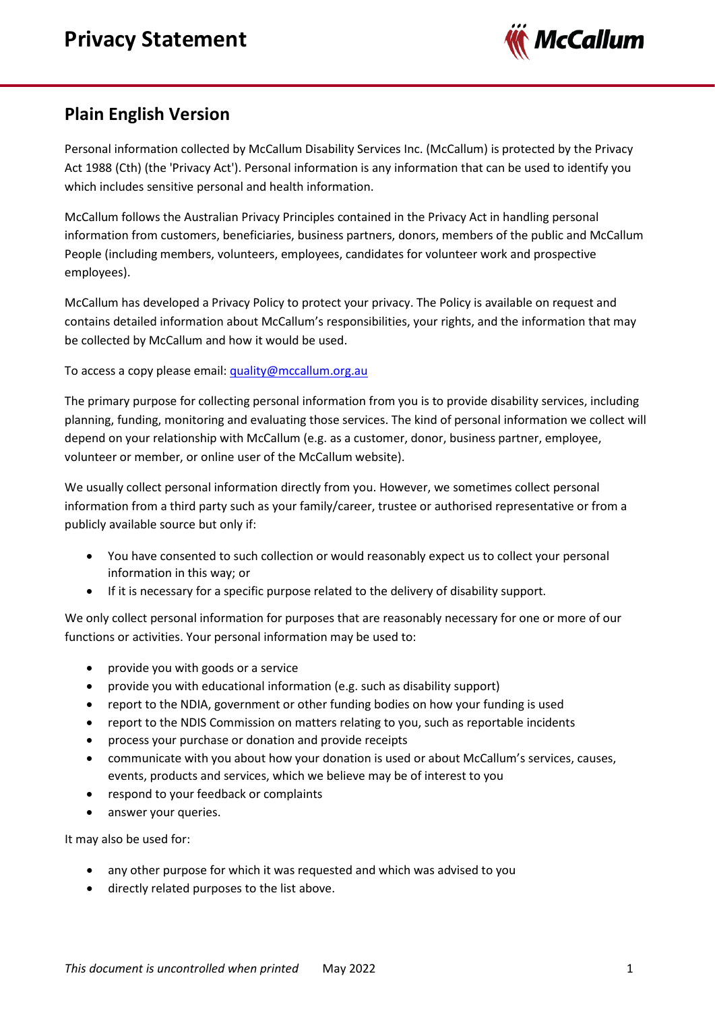

## **Plain English Version**

Personal information collected by McCallum Disability Services Inc. (McCallum) is protected by the Privacy Act 1988 (Cth) (the 'Privacy Act'). Personal information is any information that can be used to identify you which includes sensitive personal and health information.

McCallum follows the Australian Privacy Principles contained in the Privacy Act in handling personal information from customers, beneficiaries, business partners, donors, members of the public and McCallum People (including members, volunteers, employees, candidates for volunteer work and prospective employees).

McCallum has developed a Privacy Policy to protect your privacy. The Policy is available on request and contains detailed information about McCallum's responsibilities, your rights, and the information that may be collected by McCallum and how it would be used.

To access a copy please email: [quality@mccallum.org.au](mailto:quality@mccallum.org.au)

The primary purpose for collecting personal information from you is to provide disability services, including planning, funding, monitoring and evaluating those services. The kind of personal information we collect will depend on your relationship with McCallum (e.g. as a customer, donor, business partner, employee, volunteer or member, or online user of the McCallum website).

We usually collect personal information directly from you. However, we sometimes collect personal information from a third party such as your family/career, trustee or authorised representative or from a publicly available source but only if:

- You have consented to such collection or would reasonably expect us to collect your personal information in this way; or
- If it is necessary for a specific purpose related to the delivery of disability support.

We only collect personal information for purposes that are reasonably necessary for one or more of our functions or activities. Your personal information may be used to:

- provide you with goods or a service
- provide you with educational information (e.g. such as disability support)
- report to the NDIA, government or other funding bodies on how your funding is used
- report to the NDIS Commission on matters relating to you, such as reportable incidents
- process your purchase or donation and provide receipts
- communicate with you about how your donation is used or about McCallum's services, causes, events, products and services, which we believe may be of interest to you
- respond to your feedback or complaints
- answer your queries.

It may also be used for:

- any other purpose for which it was requested and which was advised to you
- directly related purposes to the list above.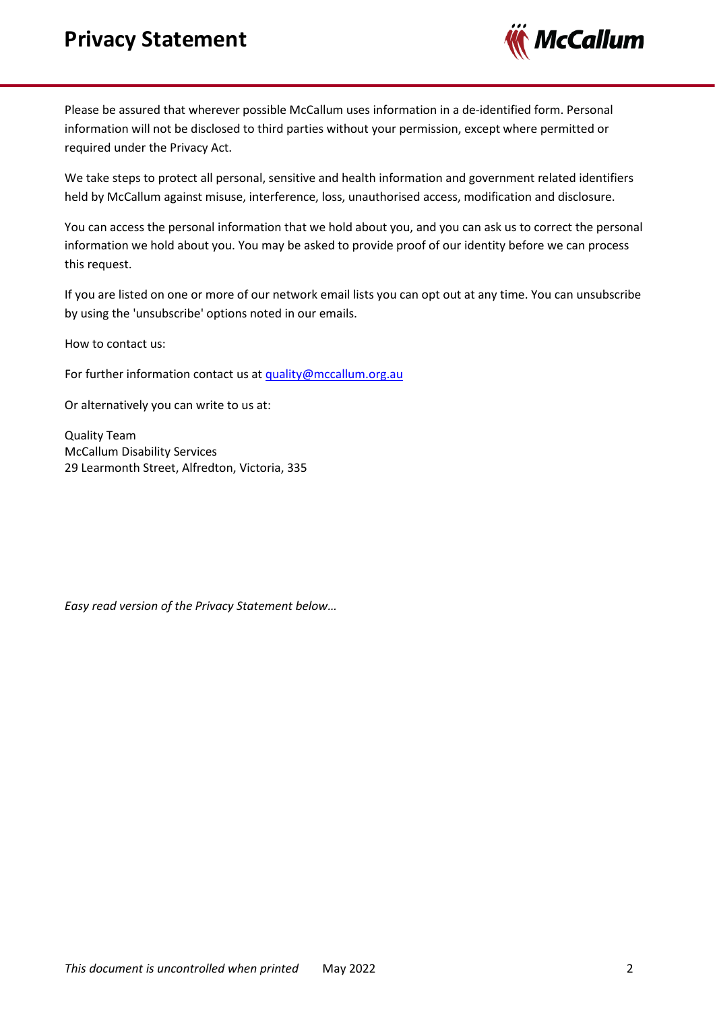## **Privacy Statement**



Please be assured that wherever possible McCallum uses information in a de-identified form. Personal information will not be disclosed to third parties without your permission, except where permitted or required under the Privacy Act.

We take steps to protect all personal, sensitive and health information and government related identifiers held by McCallum against misuse, interference, loss, unauthorised access, modification and disclosure.

You can access the personal information that we hold about you, and you can ask us to correct the personal information we hold about you. You may be asked to provide proof of our identity before we can process this request.

If you are listed on one or more of our network email lists you can opt out at any time. You can unsubscribe by using the 'unsubscribe' options noted in our emails.

How to contact us:

For further information contact us at [quality@mccallum.org.au](mailto:quality@mccallum.org.au)

Or alternatively you can write to us at:

Quality Team McCallum Disability Services 29 Learmonth Street, Alfredton, Victoria, 335

*Easy read version of the Privacy Statement below…*